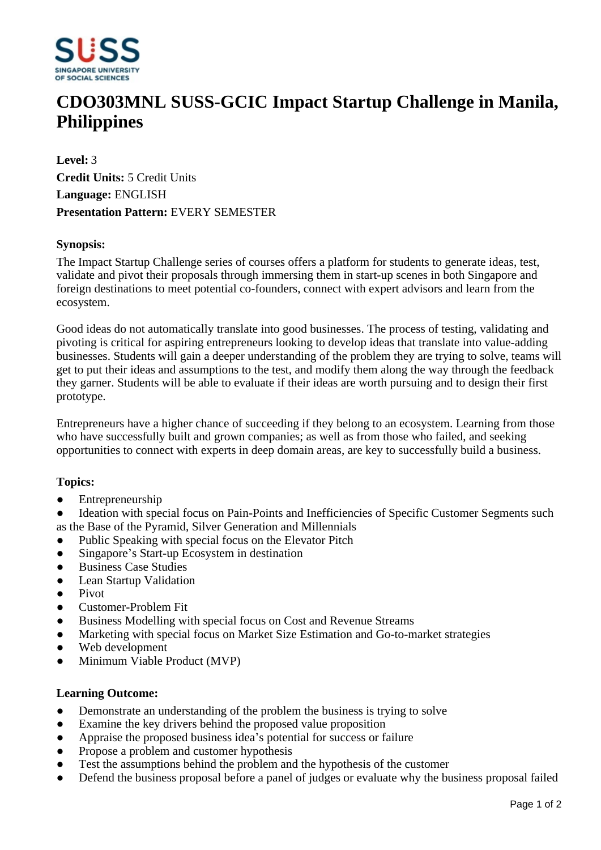

# **CDO303MNL SUSS-GCIC Impact Startup Challenge in Manila, Philippines**

**Level:** 3 **Credit Units:** 5 Credit Units **Language:** ENGLISH **Presentation Pattern:** EVERY SEMESTER

### **Synopsis:**

The Impact Startup Challenge series of courses offers a platform for students to generate ideas, test, validate and pivot their proposals through immersing them in start-up scenes in both Singapore and foreign destinations to meet potential co-founders, connect with expert advisors and learn from the ecosystem.

Good ideas do not automatically translate into good businesses. The process of testing, validating and pivoting is critical for aspiring entrepreneurs looking to develop ideas that translate into value-adding businesses. Students will gain a deeper understanding of the problem they are trying to solve, teams will get to put their ideas and assumptions to the test, and modify them along the way through the feedback they garner. Students will be able to evaluate if their ideas are worth pursuing and to design their first prototype.

Entrepreneurs have a higher chance of succeeding if they belong to an ecosystem. Learning from those who have successfully built and grown companies; as well as from those who failed, and seeking opportunities to connect with experts in deep domain areas, are key to successfully build a business.

### **Topics:**

• Entrepreneurship

Ideation with special focus on Pain-Points and Inefficiencies of Specific Customer Segments such as the Base of the Pyramid, Silver Generation and Millennials

- Public Speaking with special focus on the Elevator Pitch
- Singapore's Start-up Ecosystem in destination
- $\bullet$  Business Case Studies
- Lean Startup Validation
- Pivot
- Customer-Problem Fit
- Business Modelling with special focus on Cost and Revenue Streams
- Marketing with special focus on Market Size Estimation and Go-to-market strategies
- Web development
- Minimum Viable Product (MVP)

#### **Learning Outcome:**

- Demonstrate an understanding of the problem the business is trying to solve
- Examine the key drivers behind the proposed value proposition
- Appraise the proposed business idea's potential for success or failure
- Propose a problem and customer hypothesis
- ƔTest the assumptions behind the problem and the hypothesis of the customer
- Defend the business proposal before a panel of judges or evaluate why the business proposal failed